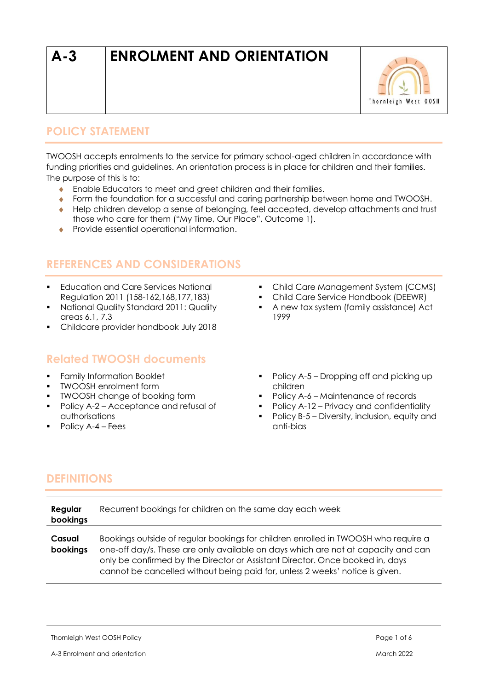# **A-3 ENROLMENT AND ORIENTATION**



# **POLICY STATEMENT**

TWOOSH accepts enrolments to the service for primary school-aged children in accordance with funding priorities and guidelines. An orientation process is in place for children and their families. The purpose of this is to:

- **Enable Educators to meet and greet children and their families.**
- Form the foundation for a successful and caring partnership between home and TWOOSH.
- Help children develop a sense of belonging, feel accepted, develop attachments and trust those who care for them ("My Time, Our Place", Outcome 1).
- **•** Provide essential operational information.

# **REFERENCES AND CONSIDERATIONS**

- **Education and Care Services National** Regulation 2011 (158-162,168,177,183)
- National Quality Standard 2011: Quality areas 6.1, 7.3
- Childcare provider handbook July 2018

## **Related TWOOSH documents**

- **•** Family Information Booklet
- TWOOSH enrolment form
- TWOOSH change of booking form
- Policy A-2 Acceptance and refusal of authorisations
- Policy A-4 Fees
- Child Care Management System (CCMS)
- Child Care Service Handbook (DEEWR)
- A new tax system (family assistance) Act 1999
- Policy A-5 Dropping off and picking up children
- Policy A-6 Maintenance of records
- Policy A-12 Privacy and confidentiality
- Policy B-5 Diversity, inclusion, equity and anti-bias

# **DEFINITIONS**

| Regular<br>bookings | Recurrent bookings for children on the same day each week                                                                                                                                                                                                                                                                                |  |
|---------------------|------------------------------------------------------------------------------------------------------------------------------------------------------------------------------------------------------------------------------------------------------------------------------------------------------------------------------------------|--|
| Casual<br>bookings  | Bookings outside of regular bookings for children enrolled in TWOOSH who require a<br>one-off day/s. These are only available on days which are not at capacity and can<br>only be confirmed by the Director or Assistant Director. Once booked in, days<br>cannot be cancelled without being paid for, unless 2 weeks' notice is given. |  |

Thornleigh West OOSH Policy **Page 1 of 6** and the state of  $\epsilon$  Page 1 of 6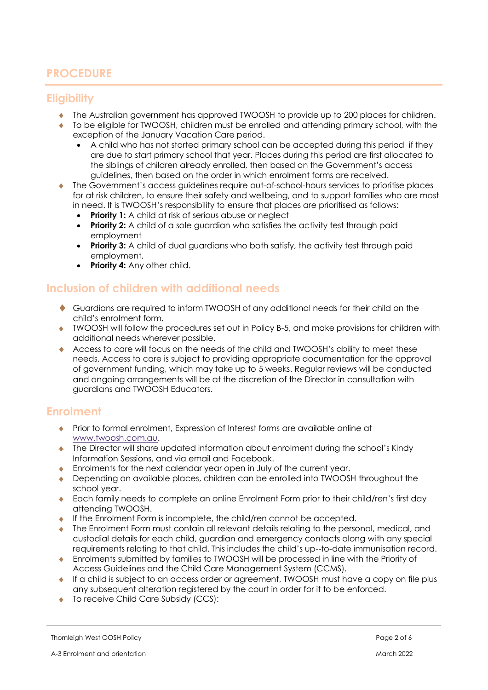# **PROCEDURE**

### **Eligibility**

- The Australian government has approved TWOOSH to provide up to 200 places for children.
- To be eligible for TWOOSH, children must be enrolled and attending primary school, with the exception of the January Vacation Care period.
	- A child who has not started primary school can be accepted during this period if they are due to start primary school that year. Places during this period are first allocated to the siblings of children already enrolled, then based on the Government's access guidelines, then based on the order in which enrolment forms are received.
- The Government's access guidelines require out-of-school-hours services to prioritise places for at risk children, to ensure their safety and wellbeing, and to support families who are most in need. It is TWOOSH's responsibility to ensure that places are prioritised as follows:
	- **Priority 1:** A child at risk of serious abuse or nealect
	- **Priority 2:** A child of a sole guardian who satisfies the activity test through paid employment
	- **Priority 3:** A child of dual guardians who both satisfy, the activity test through paid employment.
	- **Priority 4:** Any other child.

### **Inclusion of children with additional needs**

- Guardians are required to inform TWOOSH of any additional needs for their child on the child's enrolment form.
- TWOOSH will follow the procedures set out in Policy B-5, and make provisions for children with additional needs wherever possible.
- Access to care will focus on the needs of the child and TWOOSH's ability to meet these needs. Access to care is subject to providing appropriate documentation for the approval of government funding, which may take up to 5 weeks. Regular reviews will be conducted and ongoing arrangements will be at the discretion of the Director in consultation with guardians and TWOOSH Educators.

### **Enrolment**

- Prior to formal enrolment, Expression of Interest forms are available online at [www.twoosh.com.au.](http://www.twoosh.com.au/)
- The Director will share updated information about enrolment during the school's Kindy Information Sessions, and via email and Facebook.
- Enrolments for the next calendar year open in July of the current year.
- Depending on available places, children can be enrolled into TWOOSH throughout the school year.
- Each family needs to complete an online Enrolment Form prior to their child/ren's first day attending TWOOSH.
- $\bullet$  If the Enrolment Form is incomplete, the child/ren cannot be accepted.
- The Enrolment Form must contain all relevant details relating to the personal, medical, and custodial details for each child, guardian and emergency contacts along with any special requirements relating to that child. This includes the child's up--to-date immunisation record.
- Enrolments submitted by families to TWOOSH will be processed in line with the Priority of Access Guidelines and the Child Care Management System (CCMS).
- If a child is subject to an access order or agreement, TWOOSH must have a copy on file plus any subsequent alteration registered by the court in order for it to be enforced.
- ◆ To receive Child Care Subsidy (CCS):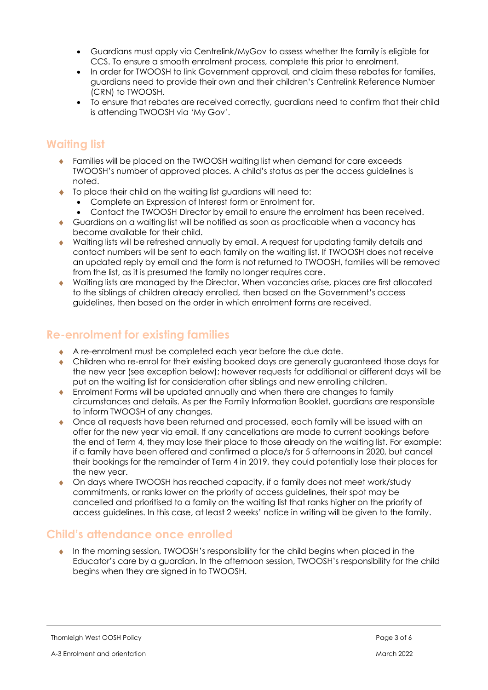- Guardians must apply via Centrelink/MyGov to assess whether the family is eligible for CCS. To ensure a smooth enrolment process, complete this prior to enrolment.
- In order for TWOOSH to link Government approval, and claim these rebates for families, guardians need to provide their own and their children's Centrelink Reference Number (CRN) to TWOOSH.
- To ensure that rebates are received correctly, guardians need to confirm that their child is attending TWOOSH via 'My Gov'.

## **Waiting list**

- Families will be placed on the TWOOSH waiting list when demand for care exceeds TWOOSH's number of approved places. A child's status as per the access guidelines is noted.
- ◆ To place their child on the waiting list guardians will need to:
	- Complete an Expression of Interest form or Enrolment for.
	- Contact the TWOOSH Director by email to ensure the enrolment has been received.
- Guardians on a waiting list will be notified as soon as practicable when a vacancy has become available for their child.
- Waiting lists will be refreshed annually by email. A request for updating family details and contact numbers will be sent to each family on the waiting list. If TWOOSH does not receive an updated reply by email and the form is not returned to TWOOSH, families will be removed from the list, as it is presumed the family no longer requires care.
- Waiting lists are managed by the Director. When vacancies arise, places are first allocated to the siblings of children already enrolled, then based on the Government's access guidelines, then based on the order in which enrolment forms are received.

## **Re-enrolment for existing families**

- A re-enrolment must be completed each year before the due date.
- Children who re-enrol for their existing booked days are generally guaranteed those days for the new year (see exception below); however requests for additional or different days will be put on the waiting list for consideration after siblings and new enrolling children.
- Enrolment Forms will be updated annually and when there are changes to family circumstances and details. As per the Family Information Booklet, guardians are responsible to inform TWOOSH of any changes.
- Once all requests have been returned and processed, each family will be issued with an offer for the new year via email. If any cancellations are made to current bookings before the end of Term 4, they may lose their place to those already on the waiting list. For example: if a family have been offered and confirmed a place/s for 5 afternoons in 2020, but cancel their bookings for the remainder of Term 4 in 2019, they could potentially lose their places for the new year.
- On days where TWOOSH has reached capacity, if a family does not meet work/study commitments, or ranks lower on the priority of access guidelines, their spot may be cancelled and prioritised to a family on the waiting list that ranks higher on the priority of access guidelines. In this case, at least 2 weeks' notice in writing will be given to the family.

## **Child's attendance once enrolled**

 In the morning session, TWOOSH's responsibility for the child begins when placed in the Educator's care by a guardian. In the afternoon session, TWOOSH's responsibility for the child begins when they are signed in to TWOOSH.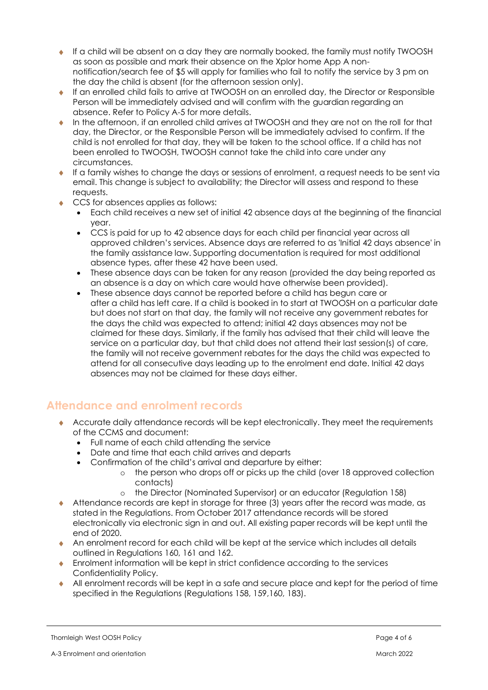- If a child will be absent on a day they are normally booked, the family must notify TWOOSH as soon as possible and mark their absence on the Xplor home App A nonnotification/search fee of \$5 will apply for families who fail to notify the service by 3 pm on the day the child is absent (for the afternoon session only).
- If an enrolled child fails to arrive at TWOOSH on an enrolled day, the Director or Responsible Person will be immediately advised and will confirm with the guardian regarding an absence. Refer to Policy A-5 for more details.
- In the afternoon, if an enrolled child arrives at TWOOSH and they are not on the roll for that day, the Director, or the Responsible Person will be immediately advised to confirm. If the child is not enrolled for that day, they will be taken to the school office. If a child has not been enrolled to TWOOSH, TWOOSH cannot take the child into care under any circumstances.
- $\bullet$  If a family wishes to change the days or sessions of enrolment, a request needs to be sent via email. This change is subject to availability; the Director will assess and respond to these requests.
- CCS for absences applies as follows:
	- Each child receives a new set of initial 42 absence days at the beginning of the financial year.
	- CCS is paid for up to 42 absence days for each child per financial year across all approved children's services. Absence days are referred to as 'Initial 42 days absence' in the family assistance law. Supporting documentation is required for most additional absence types, after these 42 have been used.
	- These absence days can be taken for any reason (provided the day being reported as an absence is a day on which care would have otherwise been provided).
	- These absence days cannot be reported before a child has begun care or after a child has left care. If a child is booked in to start at TWOOSH on a particular date but does not start on that day, the family will not receive any government rebates for the days the child was expected to attend; initial 42 days absences may not be claimed for these days. Similarly, if the family has advised that their child will leave the service on a particular day, but that child does not attend their last session(s) of care, the family will not receive government rebates for the days the child was expected to attend for all consecutive days leading up to the enrolment end date. Initial 42 days absences may not be claimed for these days either.

# **Attendance and enrolment records**

- Accurate daily attendance records will be kept electronically. They meet the requirements of the CCMS and document:
	- Full name of each child attending the service
	- Date and time that each child arrives and departs
	- Confirmation of the child's arrival and departure by either:
		- o the person who drops off or picks up the child (over 18 approved collection contacts)
		- o the Director (Nominated Supervisor) or an educator (Regulation 158)
- Attendance records are kept in storage for three (3) years after the record was made, as stated in the Regulations. From October 2017 attendance records will be stored electronically via electronic sign in and out. All existing paper records will be kept until the end of 2020.
- An enrolment record for each child will be kept at the service which includes all details outlined in Regulations 160, 161 and 162.
- Enrolment information will be kept in strict confidence according to the services Confidentiality Policy.
- All enrolment records will be kept in a safe and secure place and kept for the period of time specified in the Regulations (Regulations 158, 159,160, 183).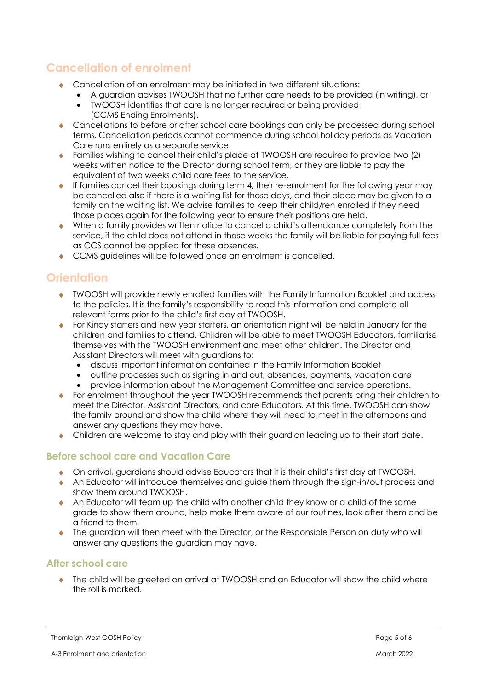# **Cancellation of enrolment**

- Cancellation of an enrolment may be initiated in two different situations:
	- A guardian advises TWOOSH that no further care needs to be provided (in writing), or
		- TWOOSH identifies that care is no longer required or being provided
			- (CCMS Ending Enrolments).
- Cancellations to before or after school care bookings can only be processed during school terms. Cancellation periods cannot commence during school holiday periods as Vacation Care runs entirely as a separate service.
- Families wishing to cancel their child's place at TWOOSH are required to provide two (2) weeks written notice to the Director during school term, or they are liable to pay the equivalent of two weeks child care fees to the service.
- If families cancel their bookings during term 4, their re-enrolment for the following year may be cancelled also if there is a waiting list for those days, and their place may be given to a family on the waiting list. We advise families to keep their child/ren enrolled if they need those places again for the following year to ensure their positions are held.
- When a family provides written notice to cancel a child's attendance completely from the service, if the child does not attend in those weeks the family will be liable for paying full fees as CCS cannot be applied for these absences.
- CCMS quidelines will be followed once an enrolment is cancelled.

# **Orientation**

- TWOOSH will provide newly enrolled families with the Family Information Booklet and access to the policies. It is the family's responsibility to read this information and complete all relevant forms prior to the child's first day at TWOOSH.
- For Kindy starters and new year starters, an orientation night will be held in January for the children and families to attend. Children will be able to meet TWOOSH Educators, familiarise themselves with the TWOOSH environment and meet other children. The Director and Assistant Directors will meet with guardians to:
	- discuss important information contained in the Family Information Booklet
	- outline processes such as signing in and out, absences, payments, vacation care
	- provide information about the Management Committee and service operations.
- For enrolment throughout the year TWOOSH recommends that parents bring their children to meet the Director, Assistant Directors, and core Educators. At this time, TWOOSH can show the family around and show the child where they will need to meet in the afternoons and answer any questions they may have.
- Children are welcome to stay and play with their guardian leading up to their start date.

## **Before school care and Vacation Care**

- On arrival, guardians should advise Educators that it is their child's first day at TWOOSH.
- An Educator will introduce themselves and guide them through the sign-in/out process and show them around TWOOSH.
- An Educator will team up the child with another child they know or a child of the same grade to show them around, help make them aware of our routines, look after them and be a friend to them.
- The guardian will then meet with the Director, or the Responsible Person on duty who will answer any questions the guardian may have.

#### **After school care**

 The child will be greeted on arrival at TWOOSH and an Educator will show the child where the roll is marked.